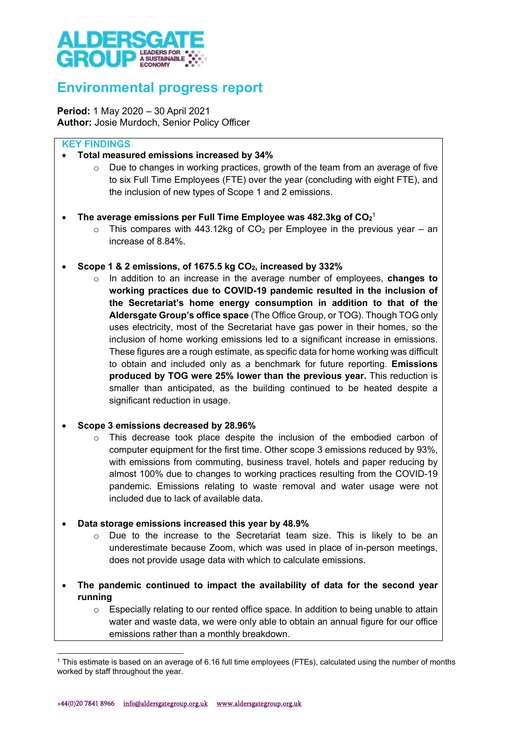

# Environmental progress report

Period: 1 May 2020 – 30 April 2021 Author: Josie Murdoch, Senior Policy Officer

# KEY FINDINGS

- Total measured emissions increased by 34%
	- o Due to changes in working practices, growth of the team from an average of five to six Full Time Employees (FTE) over the year (concluding with eight FTE), and the inclusion of new types of Scope 1 and 2 emissions.
- $\;$  The average emissions per Full Time Employee was 482.3kg of CO $_2$ 1
	- $\circ$  This compares with 443.12kg of CO<sub>2</sub> per Employee in the previous year an increase of 8.84%.
- Scope 1 & 2 emissions, of 1675.5 kg CO<sub>2</sub>, increased by 332%
	- $\circ$  In addition to an increase in the average number of employees, changes to working practices due to COVID-19 pandemic resulted in the inclusion of the Secretariat's home energy consumption in addition to that of the Aldersgate Group's office space (The Office Group, or TOG). Though TOG only uses electricity, most of the Secretariat have gas power in their homes, so the inclusion of home working emissions led to a significant increase in emissions. These figures are a rough estimate, as specific data for home working was difficult to obtain and included only as a benchmark for future reporting. Emissions produced by TOG were 25% lower than the previous year. This reduction is smaller than anticipated, as the building continued to be heated despite a significant reduction in usage.

#### Scope 3 emissions decreased by 28.96%

- $\circ$  This decrease took place despite the inclusion of the embodied carbon of computer equipment for the first time. Other scope 3 emissions reduced by 93%, with emissions from commuting, business travel, hotels and paper reducing by almost 100% due to changes to working practices resulting from the COVID-19 pandemic. Emissions relating to waste removal and water usage were not included due to lack of available data.
- Data storage emissions increased this year by 48.9%
	- o Due to the increase to the Secretariat team size. This is likely to be an underestimate because Zoom, which was used in place of in-person meetings, does not provide usage data with which to calculate emissions.
- The pandemic continued to impact the availability of data for the second year running
	- o Especially relating to our rented office space. In addition to being unable to attain water and waste data, we were only able to obtain an annual figure for our office emissions rather than a monthly breakdown.

<sup>1</sup> This estimate is based on an average of 6.16 full time employees (FTEs), calculated using the number of months worked by staff throughout the year.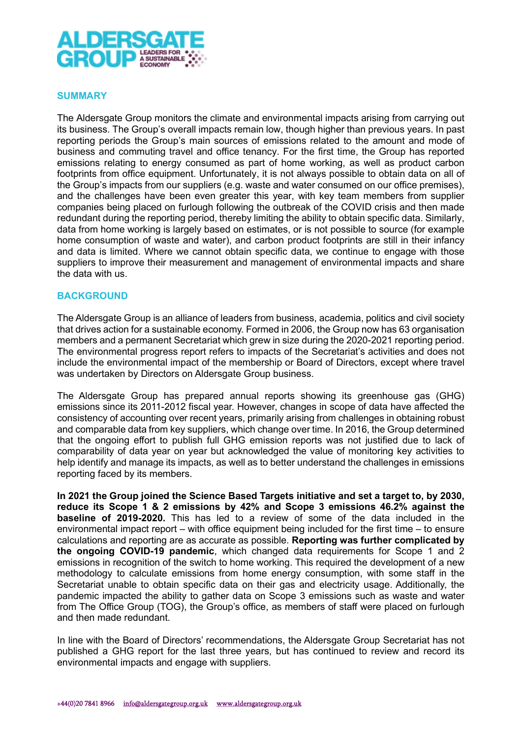

#### SUMMARY

The Aldersgate Group monitors the climate and environmental impacts arising from carrying out its business. The Group's overall impacts remain low, though higher than previous years. In past reporting periods the Group's main sources of emissions related to the amount and mode of business and commuting travel and office tenancy. For the first time, the Group has reported emissions relating to energy consumed as part of home working, as well as product carbon footprints from office equipment. Unfortunately, it is not always possible to obtain data on all of the Group's impacts from our suppliers (e.g. waste and water consumed on our office premises), and the challenges have been even greater this year, with key team members from supplier companies being placed on furlough following the outbreak of the COVID crisis and then made redundant during the reporting period, thereby limiting the ability to obtain specific data. Similarly, data from home working is largely based on estimates, or is not possible to source (for example home consumption of waste and water), and carbon product footprints are still in their infancy and data is limited. Where we cannot obtain specific data, we continue to engage with those suppliers to improve their measurement and management of environmental impacts and share the data with us.

#### **BACKGROUND**

The Aldersgate Group is an alliance of leaders from business, academia, politics and civil society that drives action for a sustainable economy. Formed in 2006, the Group now has 63 organisation members and a permanent Secretariat which grew in size during the 2020-2021 reporting period. The environmental progress report refers to impacts of the Secretariat's activities and does not include the environmental impact of the membership or Board of Directors, except where travel was undertaken by Directors on Aldersgate Group business.

The Aldersgate Group has prepared annual reports showing its greenhouse gas (GHG) emissions since its 2011-2012 fiscal year. However, changes in scope of data have affected the consistency of accounting over recent years, primarily arising from challenges in obtaining robust and comparable data from key suppliers, which change over time. In 2016, the Group determined that the ongoing effort to publish full GHG emission reports was not justified due to lack of comparability of data year on year but acknowledged the value of monitoring key activities to help identify and manage its impacts, as well as to better understand the challenges in emissions reporting faced by its members.

In 2021 the Group joined the Science Based Targets initiative and set a target to, by 2030, reduce its Scope 1 & 2 emissions by 42% and Scope 3 emissions 46.2% against the baseline of 2019-2020. This has led to a review of some of the data included in the environmental impact report – with office equipment being included for the first time – to ensure calculations and reporting are as accurate as possible. Reporting was further complicated by the ongoing COVID-19 pandemic, which changed data requirements for Scope 1 and 2 emissions in recognition of the switch to home working. This required the development of a new methodology to calculate emissions from home energy consumption, with some staff in the Secretariat unable to obtain specific data on their gas and electricity usage. Additionally, the pandemic impacted the ability to gather data on Scope 3 emissions such as waste and water from The Office Group (TOG), the Group's office, as members of staff were placed on furlough and then made redundant.

In line with the Board of Directors' recommendations, the Aldersgate Group Secretariat has not published a GHG report for the last three years, but has continued to review and record its environmental impacts and engage with suppliers.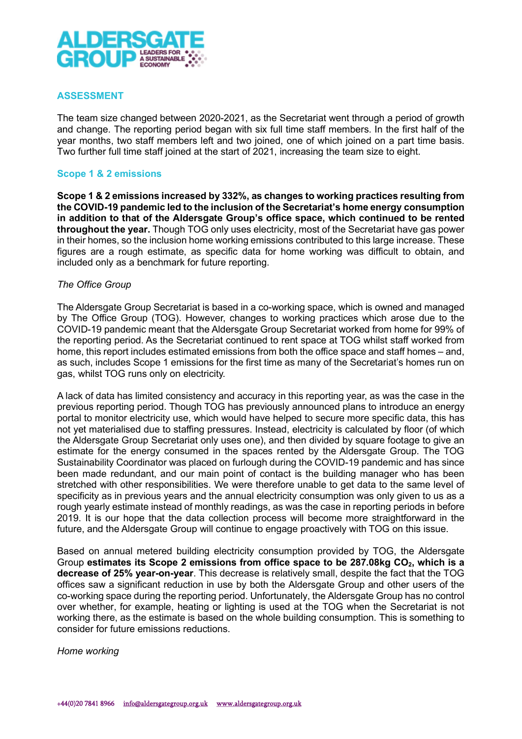

## ASSESSMENT

The team size changed between 2020-2021, as the Secretariat went through a period of growth and change. The reporting period began with six full time staff members. In the first half of the year months, two staff members left and two joined, one of which joined on a part time basis. Two further full time staff joined at the start of 2021, increasing the team size to eight.

#### Scope 1 & 2 emissions

Scope 1 & 2 emissions increased by 332%, as changes to working practices resulting from the COVID-19 pandemic led to the inclusion of the Secretariat's home energy consumption in addition to that of the Aldersgate Group's office space, which continued to be rented throughout the year. Though TOG only uses electricity, most of the Secretariat have gas power in their homes, so the inclusion home working emissions contributed to this large increase. These figures are a rough estimate, as specific data for home working was difficult to obtain, and included only as a benchmark for future reporting.

## The Office Group

The Aldersgate Group Secretariat is based in a co-working space, which is owned and managed by The Office Group (TOG). However, changes to working practices which arose due to the COVID-19 pandemic meant that the Aldersgate Group Secretariat worked from home for 99% of the reporting period. As the Secretariat continued to rent space at TOG whilst staff worked from home, this report includes estimated emissions from both the office space and staff homes – and, as such, includes Scope 1 emissions for the first time as many of the Secretariat's homes run on gas, whilst TOG runs only on electricity.

A lack of data has limited consistency and accuracy in this reporting year, as was the case in the previous reporting period. Though TOG has previously announced plans to introduce an energy portal to monitor electricity use, which would have helped to secure more specific data, this has not yet materialised due to staffing pressures. Instead, electricity is calculated by floor (of which the Aldersgate Group Secretariat only uses one), and then divided by square footage to give an estimate for the energy consumed in the spaces rented by the Aldersgate Group. The TOG Sustainability Coordinator was placed on furlough during the COVID-19 pandemic and has since been made redundant, and our main point of contact is the building manager who has been stretched with other responsibilities. We were therefore unable to get data to the same level of specificity as in previous years and the annual electricity consumption was only given to us as a rough yearly estimate instead of monthly readings, as was the case in reporting periods in before 2019. It is our hope that the data collection process will become more straightforward in the future, and the Aldersgate Group will continue to engage proactively with TOG on this issue.

Based on annual metered building electricity consumption provided by TOG, the Aldersgate Group estimates its Scope 2 emissions from office space to be  $287.08kg CO<sub>2</sub>$ , which is a decrease of 25% year-on-year. This decrease is relatively small, despite the fact that the TOG offices saw a significant reduction in use by both the Aldersgate Group and other users of the co-working space during the reporting period. Unfortunately, the Aldersgate Group has no control over whether, for example, heating or lighting is used at the TOG when the Secretariat is not working there, as the estimate is based on the whole building consumption. This is something to consider for future emissions reductions.

Home working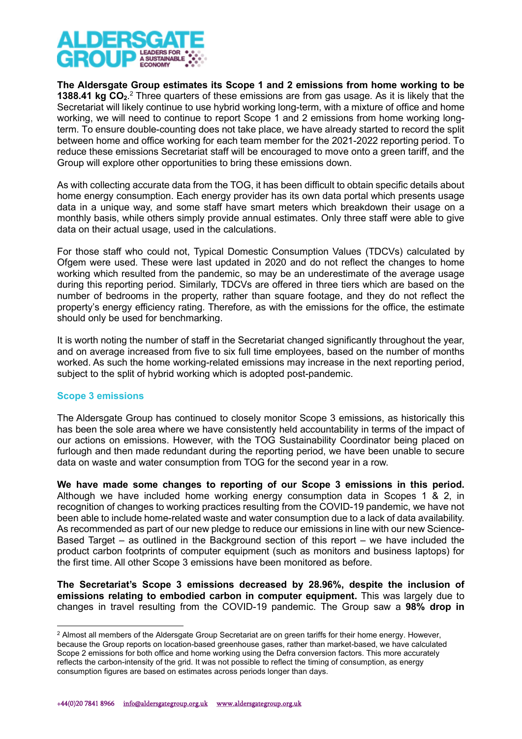

The Aldersgate Group estimates its Scope 1 and 2 emissions from home working to be 1388.41 kg  $CO<sub>2</sub>$ .<sup>2</sup> Three quarters of these emissions are from gas usage. As it is likely that the Secretariat will likely continue to use hybrid working long-term, with a mixture of office and home working, we will need to continue to report Scope 1 and 2 emissions from home working longterm. To ensure double-counting does not take place, we have already started to record the split between home and office working for each team member for the 2021-2022 reporting period. To reduce these emissions Secretariat staff will be encouraged to move onto a green tariff, and the Group will explore other opportunities to bring these emissions down.

As with collecting accurate data from the TOG, it has been difficult to obtain specific details about home energy consumption. Each energy provider has its own data portal which presents usage data in a unique way, and some staff have smart meters which breakdown their usage on a monthly basis, while others simply provide annual estimates. Only three staff were able to give data on their actual usage, used in the calculations.

For those staff who could not, Typical Domestic Consumption Values (TDCVs) calculated by Ofgem were used. These were last updated in 2020 and do not reflect the changes to home working which resulted from the pandemic, so may be an underestimate of the average usage during this reporting period. Similarly, TDCVs are offered in three tiers which are based on the number of bedrooms in the property, rather than square footage, and they do not reflect the property's energy efficiency rating. Therefore, as with the emissions for the office, the estimate should only be used for benchmarking.

It is worth noting the number of staff in the Secretariat changed significantly throughout the year, and on average increased from five to six full time employees, based on the number of months worked. As such the home working-related emissions may increase in the next reporting period, subject to the split of hybrid working which is adopted post-pandemic.

# Scope 3 emissions

The Aldersgate Group has continued to closely monitor Scope 3 emissions, as historically this has been the sole area where we have consistently held accountability in terms of the impact of our actions on emissions. However, with the TOG Sustainability Coordinator being placed on furlough and then made redundant during the reporting period, we have been unable to secure data on waste and water consumption from TOG for the second year in a row.

We have made some changes to reporting of our Scope 3 emissions in this period. Although we have included home working energy consumption data in Scopes 1 & 2, in recognition of changes to working practices resulting from the COVID-19 pandemic, we have not been able to include home-related waste and water consumption due to a lack of data availability. As recommended as part of our new pledge to reduce our emissions in line with our new Science-Based Target – as outlined in the Background section of this report – we have included the product carbon footprints of computer equipment (such as monitors and business laptops) for the first time. All other Scope 3 emissions have been monitored as before.

The Secretariat's Scope 3 emissions decreased by 28.96%, despite the inclusion of emissions relating to embodied carbon in computer equipment. This was largely due to changes in travel resulting from the COVID-19 pandemic. The Group saw a 98% drop in

 $^2$  Almost all members of the Aldersgate Group Secretariat are on green tariffs for their home energy. However, because the Group reports on location-based greenhouse gases, rather than market-based, we have calculated Scope 2 emissions for both office and home working using the Defra conversion factors. This more accurately reflects the carbon-intensity of the grid. It was not possible to reflect the timing of consumption, as energy consumption figures are based on estimates across periods longer than days.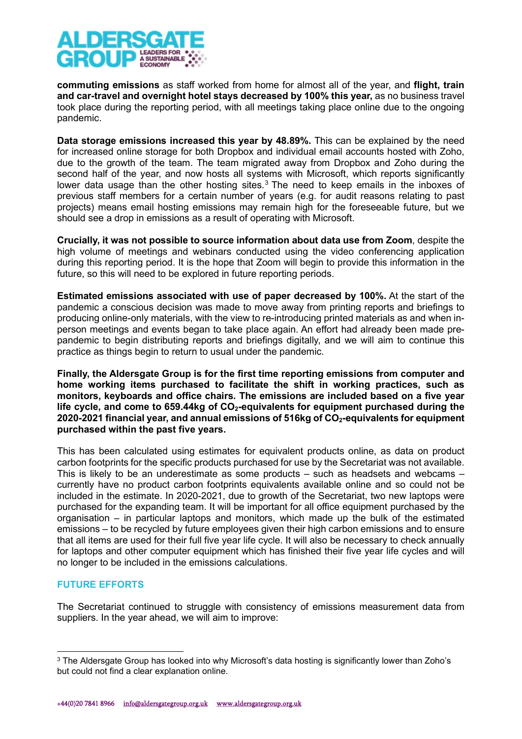

commuting emissions as staff worked from home for almost all of the year, and flight, train and car-travel and overnight hotel stays decreased by 100% this year, as no business travel took place during the reporting period, with all meetings taking place online due to the ongoing pandemic.

Data storage emissions increased this year by 48.89%. This can be explained by the need for increased online storage for both Dropbox and individual email accounts hosted with Zoho. due to the growth of the team. The team migrated away from Dropbox and Zoho during the second half of the year, and now hosts all systems with Microsoft, which reports significantly lower data usage than the other hosting sites.<sup>3</sup> The need to keep emails in the inboxes of previous staff members for a certain number of years (e.g. for audit reasons relating to past projects) means email hosting emissions may remain high for the foreseeable future, but we should see a drop in emissions as a result of operating with Microsoft.

Crucially, it was not possible to source information about data use from Zoom, despite the high volume of meetings and webinars conducted using the video conferencing application during this reporting period. It is the hope that Zoom will begin to provide this information in the future, so this will need to be explored in future reporting periods.

Estimated emissions associated with use of paper decreased by 100%. At the start of the pandemic a conscious decision was made to move away from printing reports and briefings to producing online-only materials, with the view to re-introducing printed materials as and when inperson meetings and events began to take place again. An effort had already been made prepandemic to begin distributing reports and briefings digitally, and we will aim to continue this practice as things begin to return to usual under the pandemic.

Finally, the Aldersgate Group is for the first time reporting emissions from computer and home working items purchased to facilitate the shift in working practices, such as monitors, keyboards and office chairs. The emissions are included based on a five year life cycle, and come to 659.44kg of  $CO<sub>2</sub>$ -equivalents for equipment purchased during the 2020-2021 financial year, and annual emissions of 516kg of CO2-equivalents for equipment purchased within the past five years.

This has been calculated using estimates for equivalent products online, as data on product carbon footprints for the specific products purchased for use by the Secretariat was not available. This is likely to be an underestimate as some products – such as headsets and webcams – currently have no product carbon footprints equivalents available online and so could not be included in the estimate. In 2020-2021, due to growth of the Secretariat, two new laptops were purchased for the expanding team. It will be important for all office equipment purchased by the organisation – in particular laptops and monitors, which made up the bulk of the estimated emissions – to be recycled by future employees given their high carbon emissions and to ensure that all items are used for their full five year life cycle. It will also be necessary to check annually for laptops and other computer equipment which has finished their five year life cycles and will no longer to be included in the emissions calculations.

# FUTURE EFFORTS

The Secretariat continued to struggle with consistency of emissions measurement data from suppliers. In the year ahead, we will aim to improve:

 $3$  The Aldersgate Group has looked into why Microsoft's data hosting is significantly lower than Zoho's but could not find a clear explanation online.